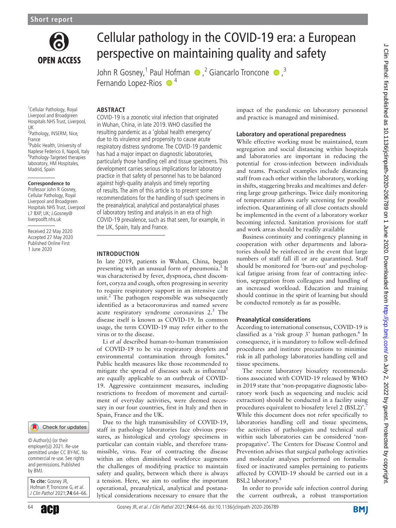

# Cellular pathology in the COVID-19 era: a European perspective on maintaining quality and safety

John R Gosney,<sup>1</sup> Paul Hofman  $\bigcirc$ , <sup>2</sup> Giancarlo Troncone  $\bigcirc$ , <sup>3</sup> Fernando Lopez-Rios  $\bullet$ <sup>4</sup>

<sup>1</sup> Cellular Pathology, Royal Liverpool and Broadgreen Hospitals NHS Trust, Liverpool, UK

<sup>2</sup>Pathology, INSERM, Nice, France <sup>3</sup>Public Health, University of

Naplese Federico II, Napoli, Italy 4 Pathology-Targeted therapies laboratory, HM Hospitales, Madrid, Spain

#### **Correspondence to**

Professor John R Gosney, Cellular Pathology, Royal Liverpool and Broadgreen Hospitals NHS Trust, Liverpool L7 8XP, UK; J.Gosney@ liverpoolft.nhs.uk

Received 22 May 2020 Accepted 27 May 2020 Published Online First 1 June 2020

#### Check for updates

© Author(s) (or their employer(s)) 2021. Re-use permitted under CC BY-NC. No commercial re-use. See rights and permissions. Published by BMJ.

**To cite:** Gosney JR, Hofman P, Troncone G, et al. J Clin Pathol 2021;**74**:64–66.



# **Abstract**

COVID-19 is a zoonotic viral infection that originated in Wuhan, China, in late 2019. WHO classified the resulting pandemic as a 'global health emergency' due to its virulence and propensity to cause acute respiratory distress syndrome. The COVID-19 pandemic has had a major impact on diagnostic laboratories, particularly those handling cell and tissue specimens. This development carries serious implications for laboratory practice in that safety of personnel has to be balanced against high-quality analysis and timely reporting of results. The aim of this article is to present some recommendations for the handling of such specimens in the preanalytical, analytical and postanalytical phases of laboratory testing and analysis in an era of high COVID-19 prevalence, such as that seen, for example, in the UK, Spain, Italy and France.

## **Introduction**

In late 2019, patients in Wuhan, China, began presenting with an unusual form of pneumonia.<sup>[1](#page-2-0)</sup> It was characterised by fever, dyspnoea, chest discomfort, coryza and cough, often progressing in severity to require respiratory support in an intensive care unit.<sup>[2](#page-2-1)</sup> The pathogen responsible was subsequently identified as a betacoronavirus and named severe acute respiratory syndrome coronavirus 2.<sup>[3](#page-2-2)</sup> The disease itself is known as COVID-19. In common usage, the term COVID-19 may refer either to the virus or to the disease.

Li *et al* described human-to-human transmission of COVID-19 to be via respiratory droplets and environmental contamination through fomites.<sup>[4](#page-2-3)</sup> Public health measures like those recommended to mitigate the spread of diseases such as influenza<sup>[5](#page-2-4)</sup> are equally applicable to an outbreak of COVID-19. Aggressive containment measures, including restrictions to freedom of movement and curtailment of everyday activities, were deemed necessary in our four countries, first in Italy and then in Spain, France and the UK.

Due to the high transmissibility of COVID-19, staff in pathology laboratories face obvious pressures, as histological and cytology specimens in particular can contain viable, and therefore transmissible, virus. Fear of contracting the disease within an often diminished workforce augments the challenges of modifying practice to maintain safety and quality, between which there is always a tension. Here, we aim to outline the important operational, preanalytical, analytical and postanalytical considerations necessary to ensure that the impact of the pandemic on laboratory personnel and practice is managed and minimised.

# **Laboratory and operational preparedness**

While effective working must be maintained, team segregation and social distancing within hospitals and laboratories are important in reducing the potential for cross-infection between individuals and teams. Practical examples include distancing staff from each other within the laboratory, working in shifts, staggering breaks and mealtimes and deferring large group gatherings. Twice daily monitoring of temperature allows early screening for possible infection. Quarantining of all close contacts should be implemented in the event of a laboratory worker becoming infected. Sanitation provisions for staff and work areas should be readily available

Business continuity and contingency planning in cooperation with other departments and laboratories should be reinforced in the event that large numbers of staff fall ill or are quarantined. Staff should be monitored for 'burn-out' and psychological fatigue arising from fear of contracting infection, segregation from colleagues and handling of an increased workload. Education and training should continue in the spirit of learning but should be conducted remotely as far as possible.

#### **Preanalytical considerations**

According to international consensus, COVID-19 is classified as a 'risk group 3' human pathogen.<sup>[6](#page-2-5)</sup> In consequence, it is mandatory to follow well-defined procedures and institute precautions to minimise risk in all pathology laboratories handling cell and tissue specimens.

The recent laboratory biosafety recommendations associated with COVID-19 released by WHO in 2019 state that 'non-propagative diagnostic laboratory work (such as sequencing and nucleic acid extraction) should be conducted in a facility using procedures equivalent to biosafety level 2 (BSL2)'. While this document does not refer specifically to laboratories handling cell and tissue specimens, the activities of pathologists and technical staff within such laboratories can be considered 'nonpropagative'. The Centers for Disease Control and Prevention advises that surgical pathology activities and molecular analyses performed on formalinfixed or inactivated samples pertaining to patients affected by COVID-19 should be carried out in a BSL2 laboratory.<sup>8</sup>

In order to provide safe infection control during the current outbreak, a robust transportation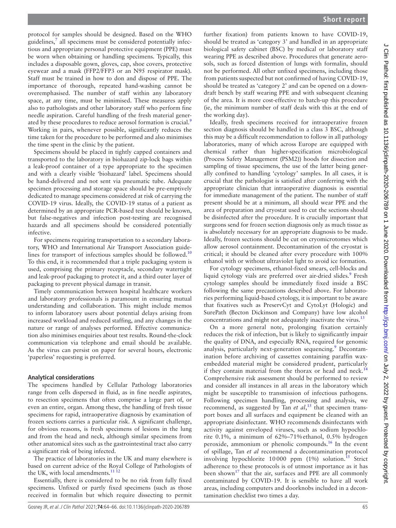protocol for samples should be designed. Based on the WHO guidelines,<sup>7</sup> all specimens must be considered potentially infectious and appropriate personal protective equipment (PPE) must be worn when obtaining or handling specimens. Typically, this includes a disposable gown, gloves, cap, shoe covers, protective eyewear and a mask (FFP2/FFP3 or an N95 respirator mask). Staff must be trained in how to don and dispose of PPE. The importance of thorough, repeated hand-washing cannot be overemphasised. The number of staff within any laboratory space, at any time, must be minimised. These measures apply also to pathologists and other laboratory staff who perform fine needle aspiration. Careful handling of the fresh material generated by these procedures to reduce aerosol formation is crucial.<sup>9</sup> Working in pairs, whenever possible, significantly reduces the time taken for the procedure to be performed and also minimises the time spent in the clinic by the patient.

Specimens should be placed in tightly capped containers and transported to the laboratory in biohazard zip-lock bags within a leak-proof container of a type appropriate to the specimen and with a clearly visible 'biohazard' label. Specimens should be hand-delivered and not sent via pneumatic tube. Adequate specimen processing and storage space should be pre-emptively dedicated to manage specimens considered at risk of carrying the COVID-19 virus. Ideally, the COVID-19 status of a patient as determined by an appropriate PCR-based test should be known, but false-negatives and infection post-testing are recognised hazards and all specimens should be considered potentially infective.

For specimens requiring transportation to a secondary laboratory, WHO and International Air Transport Association guide-lines for transport of infectious samples should be followed.<sup>[10](#page-2-9)</sup> To this end, it is recommended that a triple packaging system is used, comprising the primary receptacle, secondary watertight and leak-proof packaging to protect it, and a third outer layer of packaging to prevent physical damage in transit.

Timely communication between hospital healthcare workers and laboratory professionals is paramount in ensuring mutual understanding and collaboration. This might include memos to inform laboratory users about potential delays arising from increased workload and reduced staffing, and any changes in the nature or range of analyses performed. Effective communication also minimises enquiries about test results. Round-the-clock communication via telephone and email should be available. As the virus can persist on paper for several hours, electronic 'paperless' requesting is preferred.

# **Analytical considerations**

The specimens handled by Cellular Pathology laboratories range from cells dispersed in fluid, as in fine needle aspirates, to resection specimens that often comprise a large part of, or even an entire, organ. Among these, the handling of fresh tissue specimens for rapid, intraoperative diagnosis by examination of frozen sections carries a particular risk. A significant challenge, for obvious reasons, is fresh specimens of lesions in the lung and from the head and neck, although similar specimens from other anatomical sites such as the gastrointestinal tract also carry a significant risk of being infected.

The practice of laboratories in the UK and many elsewhere is based on current advice of the Royal College of Pathologists of the UK, with local amendments. $11^{12}$ 

Essentially, there is considered to be no risk from fully fixed specimens. Unfixed or partly fixed specimens (such as those received in formalin but which require dissecting to permit

further fixation) from patients known to have COVID-19, should be treated as 'category 3' and handled in an appropriate biological safety cabinet (BSC) by medical or laboratory staff wearing PPE as described above. Procedures that generate aerosols, such as forced distention of lungs with formalin, should not be performed. All other unfixed specimens, including those from patients suspected but not confirmed of having COVID-19, should be treated as 'category 2' and can be opened on a downdraft bench by staff wearing PPE and with subsequent cleaning of the area. It is more cost-effective to batch-up this procedure (ie, the minimum number of staff deals with this at the end of the working day).

Ideally, fresh specimens received for intraoperative frozen section diagnosis should be handled in a class 3 BSC, although this may be a difficult recommendation to follow in all pathology laboratories, many of which across Europe are equipped with chemical rather than higher-specification microbiological (Process Safety Management (PSM2)) hoods for dissection and sampling of tissue specimens, the use of the latter being generally confined to handling 'cytology' samples. In all cases, it is crucial that the pathologist is satisfied after conferring with the appropriate clinician that intraoperative diagnosis is essential for immediate management of the patient. The number of staff present should be at a minimum, all should wear PPE and the area of preparation and cryostat used to cut the sections should be disinfected after the procedure. It is crucially important that surgeons send for frozen section diagnosis only as much tissue as is absolutely necessary for an appropriate diagnosis to be made. Ideally, frozen sections should be cut on cryomicrotomes which allow aerosol containment. Decontamination of the cryostat is critical; it should be cleaned after every procedure with 100% ethanol with or without ultraviolet light to avoid ice formation.

For cytology specimens, ethanol-fixed smears, cell-blocks and liquid cytology vials are preferred over air-dried slides.<sup>9</sup> Fresh cytology samples should be immediately fixed inside a BSC following the same precautions described above. For laboratories performing liquid-based cytology, it is important to be aware that fixatives such as PreservCyt and CytoLyt (Hologic) and SurePath (Becton Dickinson and Company) have low alcohol concentrations and might not adequately inactivate the virus[.13](#page-2-11)

On a more general note, prolonging fixation certainly reduces the risk of infection, but is likely to significantly impair the quality of DNA, and especially RNA, required for genomic analysis, particularly next-generation sequencing.<sup>[9](#page-2-8)</sup> Decontamination before archiving of cassettes containing paraffin waxembedded material might be considered prudent, particularly if they contain material from the thorax or head and neck.<sup>[14](#page-2-12)</sup> Comprehensive risk assessment should be performed to review and consider all instances in all areas in the laboratory which might be susceptible to transmission of infectious pathogens. Following specimen handling, processing and analysis, we recommend, as suggested by Tan *et al*, [15](#page-2-13) that specimen transport boxes and all surfaces and equipment be cleaned with an appropriate disinfectant. WHO recommends disinfectants with activity against enveloped viruses, such as sodium hypochlorite 0.1%, a minimum of 62%–71%ethanol, 0.5% hydrogen peroxide, ammonium or phenolic compounds.<sup>[16](#page-2-14)</sup> In the event of spillage, Tan *et al* recommend a decontamination protocol involving hypochlorite  $10000$  ppm  $(1\%)$  solution.<sup>15</sup> Strict adherence to these protocols is of utmost importance as it has been shown $17$  that the air, surfaces and PPE are all commonly contaminated by COVID-19. It is sensible to have all work areas, including computers and doorknobs included in a decontamination checklist two times a day.